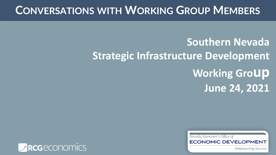### **CONVERSATIONS WITH WORKING GROUP MEMBERS**

# **Southern Nevada Strategic Infrastructure Development Working Group June 24, 2021**

Nevada Governor's Office of

**ECONOMIC DEVELOPMENT** 

**Empowering Success** 

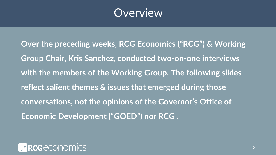### **Overview**

**Over the preceding weeks, RCG Economics ("RCG") & Working Group Chair, Kris Sanchez, conducted two-on-one interviews with the members of the Working Group. The following slides reflect salient themes & issues that emerged during those conversations, not the opinions of the Governor's Office of Economic Development ("GOED") nor RCG .**

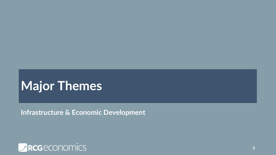# **Major Themes**

**Infrastructure & Economic Development**

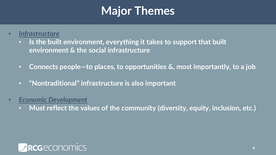# **Major Themes**

#### • *Infrastructure*

- **Is the built environment, everything it takes to support that built environment & the social infrastructure**
- **Connects people—to places, to opportunities &, most importantly, to a job**
- **"Nontraditional" infrastructure is also important**
- *Economic Development*
	- **Must reflect the values of the community (diversity, equity, inclusion, etc.)**

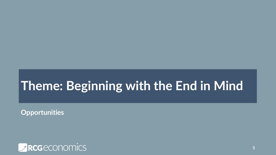# **Theme: Beginning with the End in Mind**

**Opportunities**

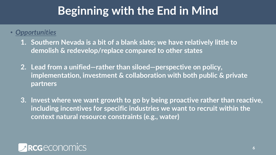# **Beginning with the End in Mind**

#### • *Opportunities*

- **1. Southern Nevada is a bit of a blank slate; we have relatively little to demolish & redevelop/replace compared to other states**
- **2. Lead from a unified—rather than siloed—perspective on policy, implementation, investment & collaboration with both public & private partners**
- **3. Invest where we want growth to go by being proactive rather than reactive, including incentives for specific industries we want to recruit within the context natural resource constraints (e.g., water)**

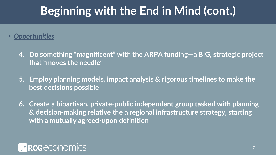# **Beginning with the End in Mind (cont.)**

- *Opportunities*
	- **4. Do something "magnificent" with the ARPA funding—a BIG, strategic project that "moves the needle"**
	- **5. Employ planning models, impact analysis & rigorous timelines to make the best decisions possible**
	- **6. Create a bipartisan, private-public independent group tasked with planning & decision-making relative the a regional infrastructure strategy, starting with a mutually agreed-upon definition**

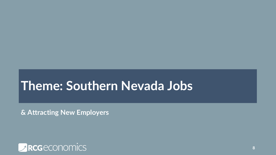## **Theme: Southern Nevada Jobs**

**& Attracting New Employers**

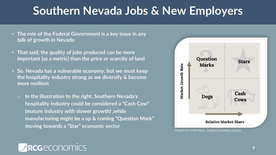## **Southern Nevada Jobs & New Employers**

- **The role of the Federal Government is a key issue in any talk of growth in Nevada**
- **That said, the quality of jobs produced can be more important (as a metric) than the price or scarcity of land**
- **So. Nevada has a vulnerable economy, but we must keep the hospitality industry strong as we diversify & become more resilient**
	- o **In the illustration to the right, Southern Nevada's hospitality industry could be considered a "Cash Cow" (mature industry with slower growth) ,while manufacturing might be a up & coming "Question Mark" moving towards a "Star" economic sector**



### RCGECONOMICS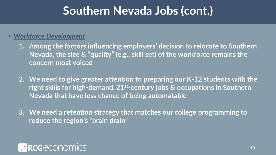### **Southern Nevada Jobs (cont.)**

#### • *Workforce Development*

- **1. Among the factors influencing employers' decision to relocate to Southern Nevada, the size & "quality" (e.g., skill set) of the workforce remains the concern most voiced**
- **2. We need to give greater attention to preparing our K-12 students with the right skills for high-demand, 21st-century jobs & occupations in Southern Nevada that have less chance of being automatable**
- **3. We need a retention strategy that matches our college programming to reduce the region's "brain drain"**

### RCGECONOMICS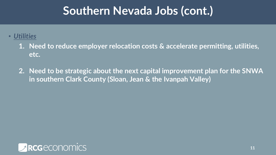## **Southern Nevada Jobs (cont.)**

### • *Utilities*

- **1. Need to reduce employer relocation costs & accelerate permitting, utilities, etc.**
- **2. Need to be strategic about the next capital improvement plan for the SNWA in southern Clark County (Sloan, Jean & the Ivanpah Valley)**

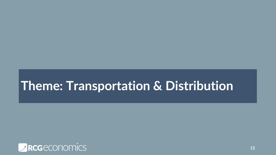## **Theme: Transportation & Distribution**

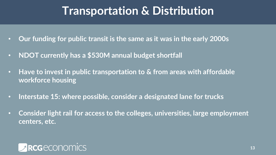### **Transportation & Distribution**

- **Our funding for public transit is the same as it was in the early 2000s**
- **NDOT currently has a \$530M annual budget shortfall**
- **Have to invest in public transportation to & from areas with affordable workforce housing**
- **Interstate 15: where possible, consider a designated lane for trucks**
- **Consider light rail for access to the colleges, universities, large employment centers, etc.**

### **RCG**economics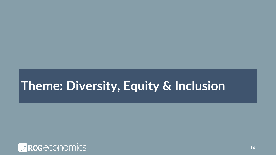# **Theme: Diversity, Equity & Inclusion**

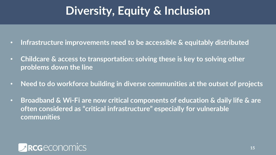# **Diversity, Equity & Inclusion**

- **Infrastructure improvements need to be accessible & equitably distributed**
- **Childcare & access to transportation: solving these is key to solving other problems down the line**
- **Need to do workforce building in diverse communities at the outset of projects**
- **Broadband & Wi-Fi are now critical components of education & daily life & are often considered as "critical infrastructure" especially for vulnerable communities**

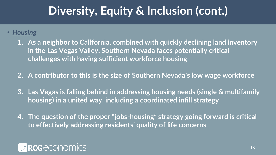# **Diversity, Equity & Inclusion (cont.)**

### • *Housing*

**1. As a neighbor to California, combined with quickly declining land inventory in the Las Vegas Valley, Southern Nevada faces potentially critical challenges with having sufficient workforce housing**

- **2. A contributor to this is the size of Southern Nevada's low wage workforce**
- **3. Las Vegas is falling behind in addressing housing needs (single & multifamily housing) in a united way, including a coordinated infill strategy**
- **4. The question of the proper "jobs-housing" strategy going forward is critical to effectively addressing residents' quality of life concerns**

### RCGECONOMICS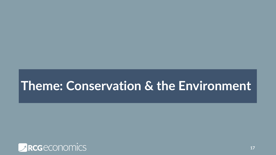### **Theme: Conservation & the Environment**

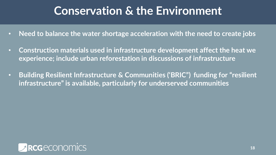## **Conservation & the Environment**

- **Need to balance the water shortage acceleration with the need to create jobs**
- **Construction materials used in infrastructure development affect the heat we experience; include urban reforestation in discussions of infrastructure**
- **Building Resilient Infrastructure & Communities ('BRIC") funding for "resilient infrastructure" is available, particularly for underserved communities**

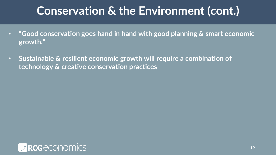# **Conservation & the Environment (cont.)**

- **"Good conservation goes hand in hand with good planning & smart economic growth."**
- **Sustainable & resilient economic growth will require a combination of technology & creative conservation practices**